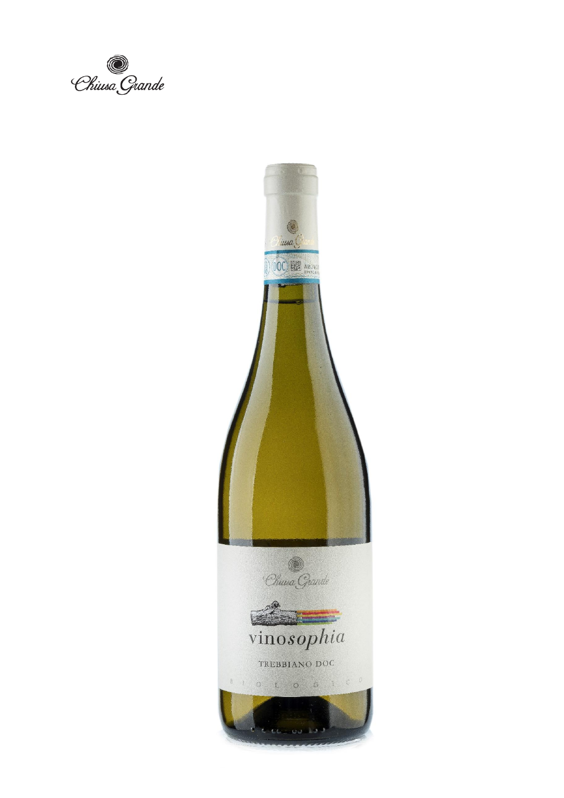e<br>Chiusa Giande